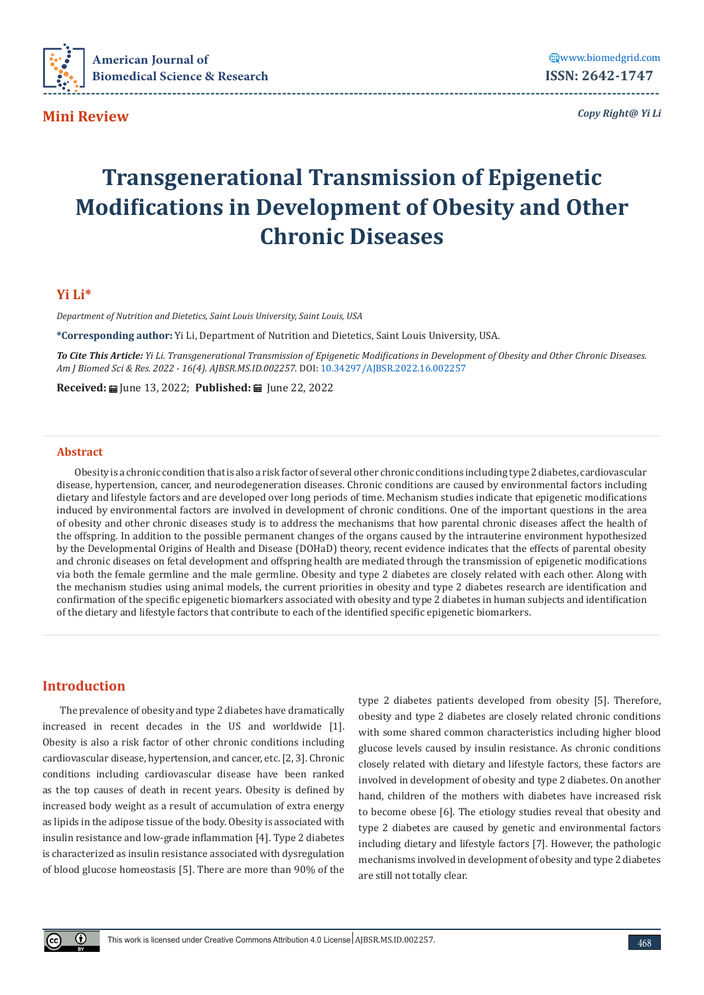

**Mini Review**

*Copy Right@ Yi Li*

# **Transgenerational Transmission of Epigenetic Modifications in Development of Obesity and Other Chronic Diseases**

## **Yi Li\***

*Department of Nutrition and Dietetics, Saint Louis University, Saint Louis, USA*

**\*Corresponding author:** Yi Li, Department of Nutrition and Dietetics, Saint Louis University, USA.

*To Cite This Article: Yi Li. Transgenerational Transmission of Epigenetic Modifications in Development of Obesity and Other Chronic Diseases. Am J Biomed Sci & Res. 2022 - 16(4). AJBSR.MS.ID.002257.* DOI: [10.34297/AJBSR.2022.16.002257](http://dx.doi.org/10.34297/AJBSR.2022.16.002257)

Received: **a** June 13, 2022; Published: **a** June 22, 2022

### **Abstract**

Obesity is a chronic condition that is also a risk factor of several other chronic conditions including type 2 diabetes, cardiovascular disease, hypertension, cancer, and neurodegeneration diseases. Chronic conditions are caused by environmental factors including dietary and lifestyle factors and are developed over long periods of time. Mechanism studies indicate that epigenetic modifications induced by environmental factors are involved in development of chronic conditions. One of the important questions in the area of obesity and other chronic diseases study is to address the mechanisms that how parental chronic diseases affect the health of the offspring. In addition to the possible permanent changes of the organs caused by the intrauterine environment hypothesized by the Developmental Origins of Health and Disease (DOHaD) theory, recent evidence indicates that the effects of parental obesity and chronic diseases on fetal development and offspring health are mediated through the transmission of epigenetic modifications via both the female germline and the male germline. Obesity and type 2 diabetes are closely related with each other. Along with the mechanism studies using animal models, the current priorities in obesity and type 2 diabetes research are identification and confirmation of the specific epigenetic biomarkers associated with obesity and type 2 diabetes in human subjects and identification of the dietary and lifestyle factors that contribute to each of the identified specific epigenetic biomarkers.

# **Introduction**

The prevalence of obesity and type 2 diabetes have dramatically increased in recent decades in the US and worldwide [1]. Obesity is also a risk factor of other chronic conditions including cardiovascular disease, hypertension, and cancer, etc. [2, 3]. Chronic conditions including cardiovascular disease have been ranked as the top causes of death in recent years. Obesity is defined by increased body weight as a result of accumulation of extra energy as lipids in the adipose tissue of the body. Obesity is associated with insulin resistance and low-grade inflammation [4]. Type 2 diabetes is characterized as insulin resistance associated with dysregulation of blood glucose homeostasis [5]. There are more than 90% of the

type 2 diabetes patients developed from obesity [5]. Therefore, obesity and type 2 diabetes are closely related chronic conditions with some shared common characteristics including higher blood glucose levels caused by insulin resistance. As chronic conditions closely related with dietary and lifestyle factors, these factors are involved in development of obesity and type 2 diabetes. On another hand, children of the mothers with diabetes have increased risk to become obese [6]. The etiology studies reveal that obesity and type 2 diabetes are caused by genetic and environmental factors including dietary and lifestyle factors [7]. However, the pathologic mechanisms involved in development of obesity and type 2 diabetes are still not totally clear.

 $\bigcirc$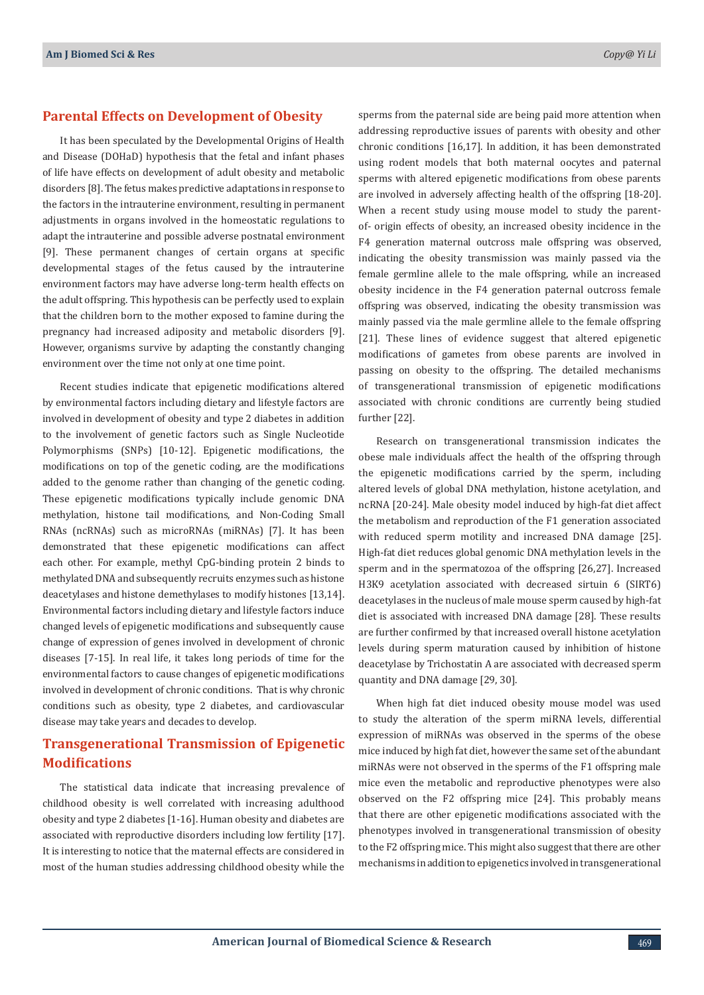# **Parental Effects on Development of Obesity**

It has been speculated by the Developmental Origins of Health and Disease (DOHaD) hypothesis that the fetal and infant phases of life have effects on development of adult obesity and metabolic disorders [8]. The fetus makes predictive adaptations in response to the factors in the intrauterine environment, resulting in permanent adjustments in organs involved in the homeostatic regulations to adapt the intrauterine and possible adverse postnatal environment [9]. These permanent changes of certain organs at specific developmental stages of the fetus caused by the intrauterine environment factors may have adverse long-term health effects on the adult offspring. This hypothesis can be perfectly used to explain that the children born to the mother exposed to famine during the pregnancy had increased adiposity and metabolic disorders [9]. However, organisms survive by adapting the constantly changing environment over the time not only at one time point.

Recent studies indicate that epigenetic modifications altered by environmental factors including dietary and lifestyle factors are involved in development of obesity and type 2 diabetes in addition to the involvement of genetic factors such as Single Nucleotide Polymorphisms (SNPs) [10-12]. Epigenetic modifications, the modifications on top of the genetic coding, are the modifications added to the genome rather than changing of the genetic coding. These epigenetic modifications typically include genomic DNA methylation, histone tail modifications, and Non-Coding Small RNAs (ncRNAs) such as microRNAs (miRNAs) [7]. It has been demonstrated that these epigenetic modifications can affect each other. For example, methyl CpG-binding protein 2 binds to methylated DNA and subsequently recruits enzymes such as histone deacetylases and histone demethylases to modify histones [13,14]. Environmental factors including dietary and lifestyle factors induce changed levels of epigenetic modifications and subsequently cause change of expression of genes involved in development of chronic diseases [7-15]. In real life, it takes long periods of time for the environmental factors to cause changes of epigenetic modifications involved in development of chronic conditions. That is why chronic conditions such as obesity, type 2 diabetes, and cardiovascular disease may take years and decades to develop.

# **Transgenerational Transmission of Epigenetic Modifications**

The statistical data indicate that increasing prevalence of childhood obesity is well correlated with increasing adulthood obesity and type 2 diabetes [1-16]. Human obesity and diabetes are associated with reproductive disorders including low fertility [17]. It is interesting to notice that the maternal effects are considered in most of the human studies addressing childhood obesity while the

sperms from the paternal side are being paid more attention when addressing reproductive issues of parents with obesity and other chronic conditions [16,17]. In addition, it has been demonstrated using rodent models that both maternal oocytes and paternal sperms with altered epigenetic modifications from obese parents are involved in adversely affecting health of the offspring [18-20]. When a recent study using mouse model to study the parentof- origin effects of obesity, an increased obesity incidence in the F4 generation maternal outcross male offspring was observed, indicating the obesity transmission was mainly passed via the female germline allele to the male offspring, while an increased obesity incidence in the F4 generation paternal outcross female offspring was observed, indicating the obesity transmission was mainly passed via the male germline allele to the female offspring [21]. These lines of evidence suggest that altered epigenetic modifications of gametes from obese parents are involved in passing on obesity to the offspring. The detailed mechanisms of transgenerational transmission of epigenetic modifications associated with chronic conditions are currently being studied further [22].

Research on transgenerational transmission indicates the obese male individuals affect the health of the offspring through the epigenetic modifications carried by the sperm, including altered levels of global DNA methylation, histone acetylation, and ncRNA [20-24]. Male obesity model induced by high-fat diet affect the metabolism and reproduction of the F1 generation associated with reduced sperm motility and increased DNA damage [25]. High-fat diet reduces global genomic DNA methylation levels in the sperm and in the spermatozoa of the offspring [26,27]. Increased H3K9 acetylation associated with decreased sirtuin 6 (SIRT6) deacetylases in the nucleus of male mouse sperm caused by high-fat diet is associated with increased DNA damage [28]. These results are further confirmed by that increased overall histone acetylation levels during sperm maturation caused by inhibition of histone deacetylase by Trichostatin A are associated with decreased sperm quantity and DNA damage [29, 30].

When high fat diet induced obesity mouse model was used to study the alteration of the sperm miRNA levels, differential expression of miRNAs was observed in the sperms of the obese mice induced by high fat diet, however the same set of the abundant miRNAs were not observed in the sperms of the F1 offspring male mice even the metabolic and reproductive phenotypes were also observed on the F2 offspring mice [24]. This probably means that there are other epigenetic modifications associated with the phenotypes involved in transgenerational transmission of obesity to the F2 offspring mice. This might also suggest that there are other mechanisms in addition to epigenetics involved in transgenerational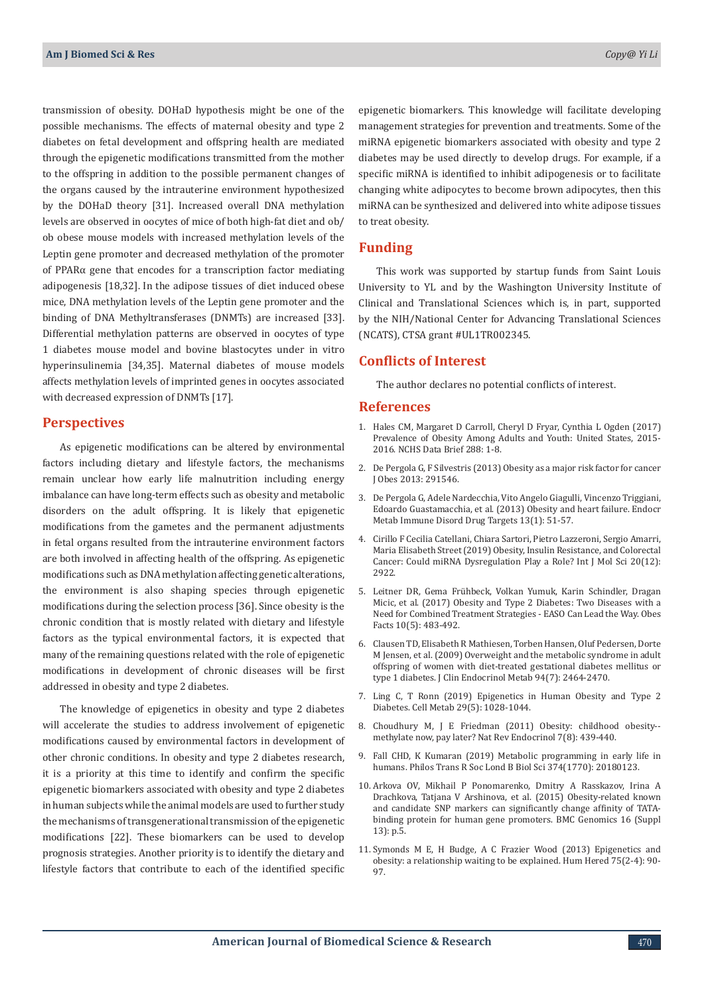transmission of obesity. DOHaD hypothesis might be one of the possible mechanisms. The effects of maternal obesity and type 2 diabetes on fetal development and offspring health are mediated through the epigenetic modifications transmitted from the mother to the offspring in addition to the possible permanent changes of the organs caused by the intrauterine environment hypothesized by the DOHaD theory [31]. Increased overall DNA methylation levels are observed in oocytes of mice of both high-fat diet and ob/ ob obese mouse models with increased methylation levels of the Leptin gene promoter and decreased methylation of the promoter of PPARα gene that encodes for a transcription factor mediating adipogenesis [18,32]. In the adipose tissues of diet induced obese mice, DNA methylation levels of the Leptin gene promoter and the binding of DNA Methyltransferases (DNMTs) are increased [33]. Differential methylation patterns are observed in oocytes of type 1 diabetes mouse model and bovine blastocytes under in vitro hyperinsulinemia [34,35]. Maternal diabetes of mouse models affects methylation levels of imprinted genes in oocytes associated with decreased expression of DNMTs [17].

### **Perspectives**

As epigenetic modifications can be altered by environmental factors including dietary and lifestyle factors, the mechanisms remain unclear how early life malnutrition including energy imbalance can have long-term effects such as obesity and metabolic disorders on the adult offspring. It is likely that epigenetic modifications from the gametes and the permanent adjustments in fetal organs resulted from the intrauterine environment factors are both involved in affecting health of the offspring. As epigenetic modifications such as DNA methylation affecting genetic alterations, the environment is also shaping species through epigenetic modifications during the selection process [36]. Since obesity is the chronic condition that is mostly related with dietary and lifestyle factors as the typical environmental factors, it is expected that many of the remaining questions related with the role of epigenetic modifications in development of chronic diseases will be first addressed in obesity and type 2 diabetes.

The knowledge of epigenetics in obesity and type 2 diabetes will accelerate the studies to address involvement of epigenetic modifications caused by environmental factors in development of other chronic conditions. In obesity and type 2 diabetes research, it is a priority at this time to identify and confirm the specific epigenetic biomarkers associated with obesity and type 2 diabetes in human subjects while the animal models are used to further study the mechanisms of transgenerational transmission of the epigenetic modifications [22]. These biomarkers can be used to develop prognosis strategies. Another priority is to identify the dietary and lifestyle factors that contribute to each of the identified specific

epigenetic biomarkers. This knowledge will facilitate developing management strategies for prevention and treatments. Some of the miRNA epigenetic biomarkers associated with obesity and type 2 diabetes may be used directly to develop drugs. For example, if a specific miRNA is identified to inhibit adipogenesis or to facilitate changing white adipocytes to become brown adipocytes, then this miRNA can be synthesized and delivered into white adipose tissues to treat obesity.

## **Funding**

This work was supported by startup funds from Saint Louis University to YL and by the Washington University Institute of Clinical and Translational Sciences which is, in part, supported by the NIH/National Center for Advancing Translational Sciences (NCATS), CTSA grant #UL1TR002345.

## **Conflicts of Interest**

The author declares no potential conflicts of interest.

## **References**

- 1. [Hales CM, Margaret D Carroll, Cheryl D Fryar, Cynthia L Ogden \(2017\)](https://pubmed.ncbi.nlm.nih.gov/29155689/) [Prevalence of Obesity Among Adults and Youth: United States, 2015-](https://pubmed.ncbi.nlm.nih.gov/29155689/) [2016. NCHS Data Brief 288: 1-8.](https://pubmed.ncbi.nlm.nih.gov/29155689/)
- 2. [De Pergola G, F Silvestris \(2013\) Obesity as a major risk factor for cancer](https://pubmed.ncbi.nlm.nih.gov/24073332/) [J Obes 2013: 291546.](https://pubmed.ncbi.nlm.nih.gov/24073332/)
- 3. [De Pergola G, Adele Nardecchia, Vito Angelo Giagulli, Vincenzo Triggiani,](https://pubmed.ncbi.nlm.nih.gov/23369137/) [Edoardo Guastamacchia, et al. \(2013\) Obesity and heart failure. Endocr](https://pubmed.ncbi.nlm.nih.gov/23369137/) [Metab Immune Disord Drug Targets 13\(1\): 51-57.](https://pubmed.ncbi.nlm.nih.gov/23369137/)
- 4. [Cirillo F Cecilia Catellani, Chiara Sartori, Pietro Lazzeroni, Sergio Amarri,](https://pubmed.ncbi.nlm.nih.gov/31207998/) [Maria Elisabeth Street \(2019\) Obesity, Insulin Resistance, and Colorectal](https://pubmed.ncbi.nlm.nih.gov/31207998/) [Cancer: Could miRNA Dysregulation Play a Role? Int J Mol Sci 20\(12\):](https://pubmed.ncbi.nlm.nih.gov/31207998/) [2922.](https://pubmed.ncbi.nlm.nih.gov/31207998/)
- 5. Leitner DR, Gema Frühbeck, Volkan Yumuk, Karin Schindler, Dragan Micic, et al. (2017) Obesity and Type 2 Diabetes: Two Diseases with a Need for Combined Treatment Strategies - EASO Can Lead the Way. Obes Facts 10(5): 483-492.
- 6. [Clausen TD, Elisabeth R Mathiesen, Torben Hansen, Oluf Pedersen, Dorte](https://pubmed.ncbi.nlm.nih.gov/19417040/) [M Jensen, et al. \(2009\) Overweight and the metabolic syndrome in adult](https://pubmed.ncbi.nlm.nih.gov/19417040/) [offspring of women with diet-treated gestational diabetes mellitus or](https://pubmed.ncbi.nlm.nih.gov/19417040/) [type 1 diabetes. J Clin Endocrinol Metab 94\(7\): 2464-2470.](https://pubmed.ncbi.nlm.nih.gov/19417040/)
- 7. [Ling C, T Ronn \(2019\) Epigenetics in Human Obesity and Type 2](https://pubmed.ncbi.nlm.nih.gov/30982733/) [Diabetes. Cell Metab 29\(5\): 1028-1044.](https://pubmed.ncbi.nlm.nih.gov/30982733/)
- 8. Choudhury M, J E Friedman (2011) Obesity: childhood obesity- methylate now, pay later? Nat Rev Endocrinol 7(8): 439-440.
- 9. [Fall CHD, K Kumaran \(2019\) Metabolic programming in early life in](https://pubmed.ncbi.nlm.nih.gov/30966889/) [humans. Philos Trans R Soc Lond B Biol Sci 374\(1770\): 20180123.](https://pubmed.ncbi.nlm.nih.gov/30966889/)
- 10. [Arkova OV, Mikhail P Ponomarenko, Dmitry A Rasskazov, Irina A](https://pubmed.ncbi.nlm.nih.gov/26694100/) [Drachkova, Tatjana V Arshinova, et al.](https://pubmed.ncbi.nlm.nih.gov/26694100/) (2015) Obesity-related known [and candidate SNP markers can significantly change affinity of TATA](https://pubmed.ncbi.nlm.nih.gov/26694100/)[binding protein for human gene promoters. BMC Genomics 16 \(Suppl](https://pubmed.ncbi.nlm.nih.gov/26694100/) [13\): p.5.](https://pubmed.ncbi.nlm.nih.gov/26694100/)
- 11. [Symonds M E, H Budge, A C Frazier Wood \(2013\) Epigenetics and](https://pubmed.ncbi.nlm.nih.gov/24081224/) [obesity: a relationship waiting to be explained. Hum Hered 75\(2-4\): 90-](https://pubmed.ncbi.nlm.nih.gov/24081224/) [97.](https://pubmed.ncbi.nlm.nih.gov/24081224/)